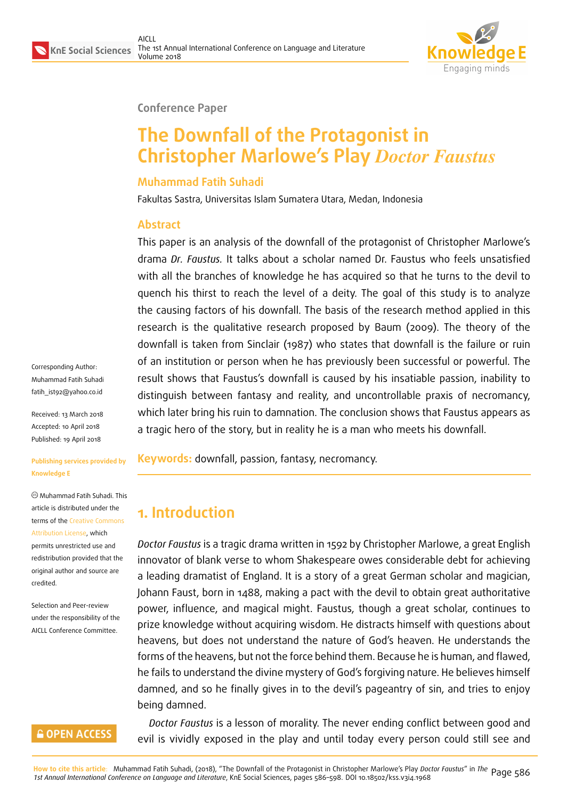

#### **Conference Paper**

# **The Downfall of the Protagonist in Christopher Marlowe's Play** *Doctor Faustus*

#### **Muhammad Fatih Suhadi**

Fakultas Sastra, Universitas Islam Sumatera Utara, Medan, Indonesia

#### **Abstract**

This paper is an analysis of the downfall of the protagonist of Christopher Marlowe's drama *Dr. Faustus.* It talks about a scholar named Dr. Faustus who feels unsatisfied with all the branches of knowledge he has acquired so that he turns to the devil to quench his thirst to reach the level of a deity. The goal of this study is to analyze the causing factors of his downfall. The basis of the research method applied in this research is the qualitative research proposed by Baum (2009). The theory of the downfall is taken from Sinclair (1987) who states that downfall is the failure or ruin of an institution or person when he has previously been successful or powerful. The result shows that Faustus's downfall is caused by his insatiable passion, inability to distinguish between fantasy and reality, and uncontrollable praxis of necromancy, which later bring his ruin to damnation. The conclusion shows that Faustus appears as a tragic hero of the story, but in reality he is a man who meets his downfall.

Corresponding Author: Muhammad Fatih Suhadi fatih\_ist92@yahoo.co.id

Received: 13 March 2018 Accepted: 10 April 2018 [Published: 19 April 2018](mailto:fatih_ist92@yahoo.co.id)

#### **Publishing services provided by Knowledge E**

Muhammad Fatih Suhadi. This article is distributed under the terms of the Creative Commons Attribution License, which permits unrestricted use and redistribution provided that the original auth[or and source are](https://creativecommons.org/licenses/by/4.0/) [credited.](https://creativecommons.org/licenses/by/4.0/)

Selection and Peer-review under the responsibility of the AICLL Conference Committee.

#### **GOPEN ACCESS**

**Keywords:** downfall, passion, fantasy, necromancy.

## **1. Introduction**

*Doctor Faustus* is a tragic drama written in 1592 by Christopher Marlowe, a great English innovator of blank verse to whom Shakespeare owes considerable debt for achieving a leading dramatist of England. It is a story of a great German scholar and magician, Johann Faust, born in 1488, making a pact with the devil to obtain great authoritative power, influence, and magical might. Faustus, though a great scholar, continues to prize knowledge without acquiring wisdom. He distracts himself with questions about heavens, but does not understand the nature of God's heaven. He understands the forms of the heavens, but not the force behind them. Because he is human, and flawed, he fails to understand the divine mystery of God's forgiving nature. He believes himself damned, and so he finally gives in to the devil's pageantry of sin, and tries to enjoy being damned.

*Doctor Faustus* is a lesson of morality. The never ending conflict between good and evil is vividly exposed in the play and until today every person could still see and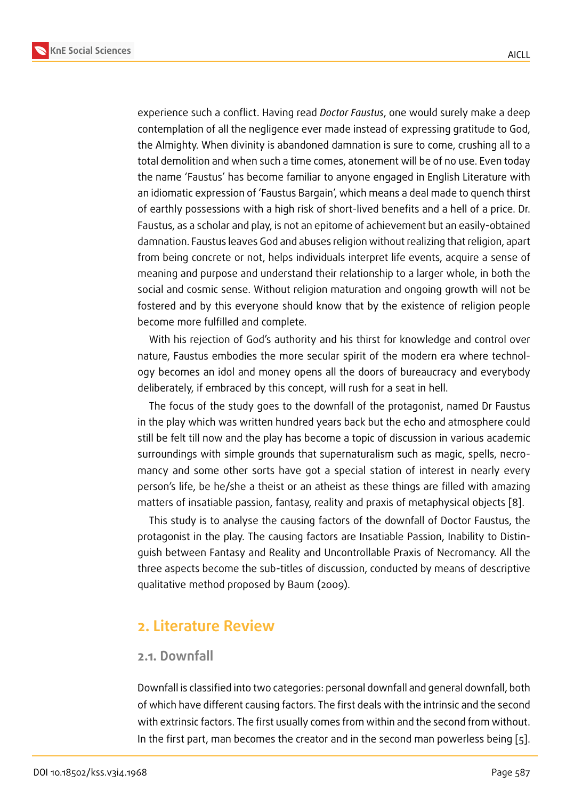experience such a conflict. Having read *Doctor Faustus*, one would surely make a deep contemplation of all the negligence ever made instead of expressing gratitude to God, the Almighty. When divinity is abandoned damnation is sure to come, crushing all to a total demolition and when such a time comes, atonement will be of no use. Even today the name 'Faustus' has become familiar to anyone engaged in English Literature with an idiomatic expression of 'Faustus Bargain', which means a deal made to quench thirst of earthly possessions with a high risk of short-lived benefits and a hell of a price. Dr. Faustus, as a scholar and play, is not an epitome of achievement but an easily-obtained damnation. Faustus leaves God and abuses religion without realizing that religion, apart from being concrete or not, helps individuals interpret life events, acquire a sense of meaning and purpose and understand their relationship to a larger whole, in both the social and cosmic sense. Without religion maturation and ongoing growth will not be fostered and by this everyone should know that by the existence of religion people become more fulfilled and complete.

With his rejection of God's authority and his thirst for knowledge and control over nature, Faustus embodies the more secular spirit of the modern era where technology becomes an idol and money opens all the doors of bureaucracy and everybody deliberately, if embraced by this concept, will rush for a seat in hell.

The focus of the study goes to the downfall of the protagonist, named Dr Faustus in the play which was written hundred years back but the echo and atmosphere could still be felt till now and the play has become a topic of discussion in various academic surroundings with simple grounds that supernaturalism such as magic, spells, necromancy and some other sorts have got a special station of interest in nearly every person's life, be he/she a theist or an atheist as these things are filled with amazing matters of insatiable passion, fantasy, reality and praxis of metaphysical objects [8].

This study is to analyse the causing factors of the downfall of Doctor Faustus, the protagonist in the play. The causing factors are Insatiable Passion, Inability to Distinguish between Fantasy and Reality and Uncontrollable Praxis of Necromancy. All [t](#page-12-0)he three aspects become the sub-titles of discussion, conducted by means of descriptive qualitative method proposed by Baum (2009).

### **2. Literature Review**

#### **2.1. Downfall**

Downfall is classified into two categories: personal downfall and general downfall, both of which have different causing factors. The first deals with the intrinsic and the second with extrinsic factors. The first usually comes from within and the second from without. In the first part, man becomes the creator and in the second man powerless being [5].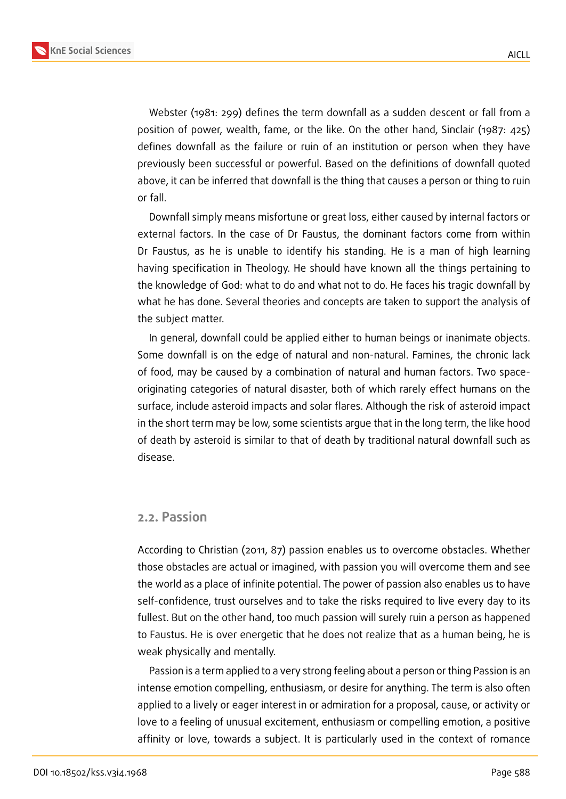

Webster (1981: 299) defines the term downfall as a sudden descent or fall from a position of power, wealth, fame, or the like. On the other hand, Sinclair (1987: 425) defines downfall as the failure or ruin of an institution or person when they have previously been successful or powerful. Based on the definitions of downfall quoted above, it can be inferred that downfall is the thing that causes a person or thing to ruin or fall.

Downfall simply means misfortune or great loss, either caused by internal factors or external factors. In the case of Dr Faustus, the dominant factors come from within Dr Faustus, as he is unable to identify his standing. He is a man of high learning having specification in Theology. He should have known all the things pertaining to the knowledge of God: what to do and what not to do. He faces his tragic downfall by what he has done. Several theories and concepts are taken to support the analysis of the subject matter.

In general, downfall could be applied either to human beings or inanimate objects. Some downfall is on the edge of natural and non-natural. Famines, the chronic lack of food, may be caused by a combination of natural and human factors. Two spaceoriginating categories of natural disaster, both of which rarely effect humans on the surface, include asteroid impacts and solar flares. Although the risk of asteroid impact in the short term may be low, some scientists argue that in the long term, the like hood of death by asteroid is similar to that of death by traditional natural downfall such as disease.

#### **2.2. Passion**

According to Christian (2011, 87) passion enables us to overcome obstacles. Whether those obstacles are actual or imagined, with passion you will overcome them and see the world as a place of infinite potential. The power of passion also enables us to have self-confidence, trust ourselves and to take the risks required to live every day to its fullest. But on the other hand, too much passion will surely ruin a person as happened to Faustus. He is over energetic that he does not realize that as a human being, he is weak physically and mentally.

Passion is a term applied to a very strong feeling about a person or thing Passion is an intense emotion compelling, enthusiasm, or desire for anything. The term is also often applied to a lively or eager interest in or admiration for a proposal, cause, or activity or love to a feeling of unusual excitement, enthusiasm or compelling emotion, a positive affinity or love, towards a subject. It is particularly used in the context of romance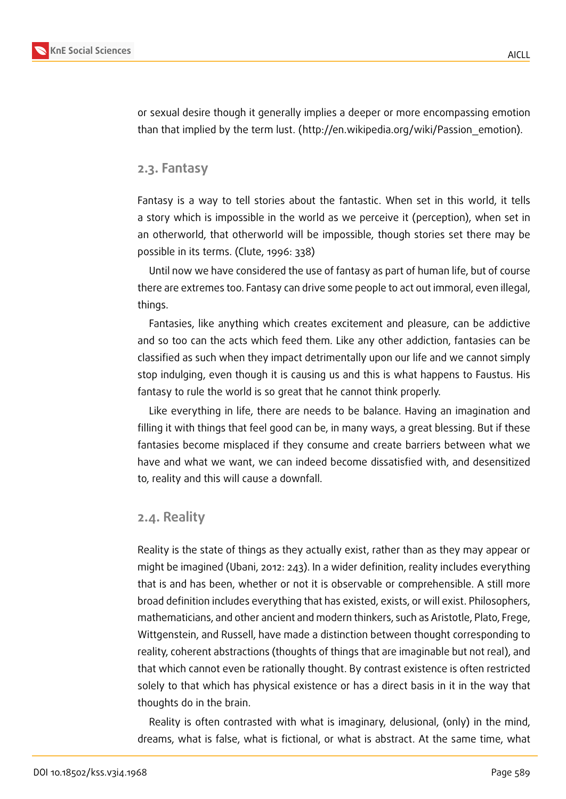

or sexual desire though it generally implies a deeper or more encompassing emotion than that implied by the term lust. (http://en.wikipedia.org/wiki/Passion\_emotion).

#### **2.3. Fantasy**

Fantasy is a way to tell stories about the fantastic. When set in this world, it tells a story which is impossible in the world as we perceive it (perception), when set in an otherworld, that otherworld will be impossible, though stories set there may be possible in its terms. (Clute, 1996: 338)

Until now we have considered the use of fantasy as part of human life, but of course there are extremes too. Fantasy can drive some people to act out immoral, even illegal, things.

Fantasies, like anything which creates excitement and pleasure, can be addictive and so too can the acts which feed them. Like any other addiction, fantasies can be classified as such when they impact detrimentally upon our life and we cannot simply stop indulging, even though it is causing us and this is what happens to Faustus. His fantasy to rule the world is so great that he cannot think properly.

Like everything in life, there are needs to be balance. Having an imagination and filling it with things that feel good can be, in many ways, a great blessing. But if these fantasies become misplaced if they consume and create barriers between what we have and what we want, we can indeed become dissatisfied with, and desensitized to, reality and this will cause a downfall.

#### **2.4. Reality**

Reality is the state of things as they actually exist, rather than as they may appear or might be imagined (Ubani, 2012: 243). In a wider definition, reality includes everything that is and has been, whether or not it is observable or comprehensible. A still more broad definition includes everything that has existed, exists, or will exist. Philosophers, mathematicians, and other ancient and modern thinkers, such as Aristotle, Plato, Frege, Wittgenstein, and Russell, have made a distinction between thought corresponding to reality, coherent abstractions (thoughts of things that are imaginable but not real), and that which cannot even be rationally thought. By contrast existence is often restricted solely to that which has physical existence or has a direct basis in it in the way that thoughts do in the brain.

Reality is often contrasted with what is imaginary, delusional, (only) in the mind, dreams, what is false, what is fictional, or what is abstract. At the same time, what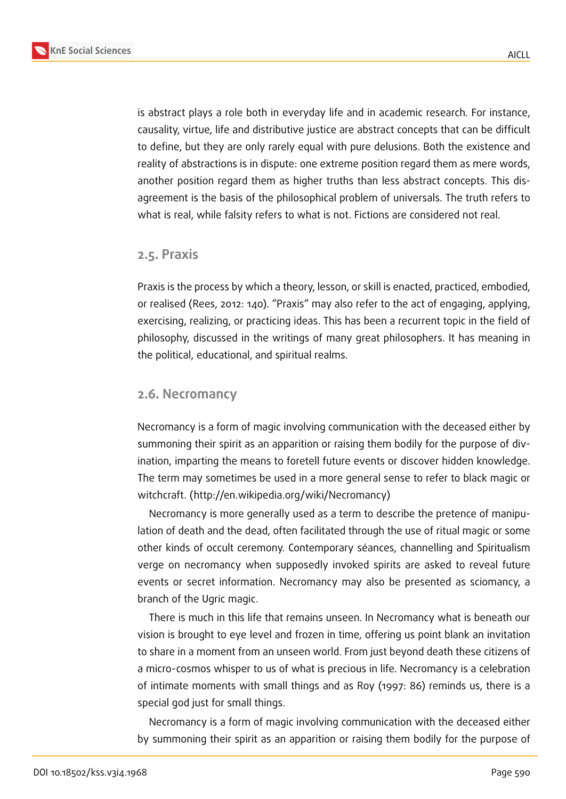

is abstract plays a role both in everyday life and in academic research. For instance, causality, virtue, life and distributive justice are abstract concepts that can be difficult to define, but they are only rarely equal with pure delusions. Both the existence and reality of abstractions is in dispute: one extreme position regard them as mere words, another position regard them as higher truths than less abstract concepts. This disagreement is the basis of the philosophical problem of universals. The truth refers to what is real, while falsity refers to what is not. Fictions are considered not real.

#### **2.5. Praxis**

Praxis is the process by which a theory, lesson, or skill is enacted, practiced, embodied, or realised (Rees, 2012: 140). "Praxis" may also refer to the act of engaging, applying, exercising, realizing, or practicing ideas. This has been a recurrent topic in the field of philosophy, discussed in the writings of many great philosophers. It has meaning in the political, educational, and spiritual realms.

#### **2.6. Necromancy**

Necromancy is a form of magic involving communication with the deceased either by summoning their spirit as an apparition or raising them bodily for the purpose of divination, imparting the means to foretell future events or discover hidden knowledge. The term may sometimes be used in a more general sense to refer to black magic or witchcraft. (http://en.wikipedia.org/wiki/Necromancy)

Necromancy is more generally used as a term to describe the pretence of manipulation of death and the dead, often facilitated through the use of ritual magic or some other kinds of occult ceremony. Contemporary séances, channelling and Spiritualism verge on necromancy when supposedly invoked spirits are asked to reveal future events or secret information. Necromancy may also be presented as sciomancy, a branch of the Ugric magic.

There is much in this life that remains unseen. In Necromancy what is beneath our vision is brought to eye level and frozen in time, offering us point blank an invitation to share in a moment from an unseen world. From just beyond death these citizens of a micro-cosmos whisper to us of what is precious in life. Necromancy is a celebration of intimate moments with small things and as Roy (1997: 86) reminds us, there is a special god just for small things.

Necromancy is a form of magic involving communication with the deceased either by summoning their spirit as an apparition or raising them bodily for the purpose of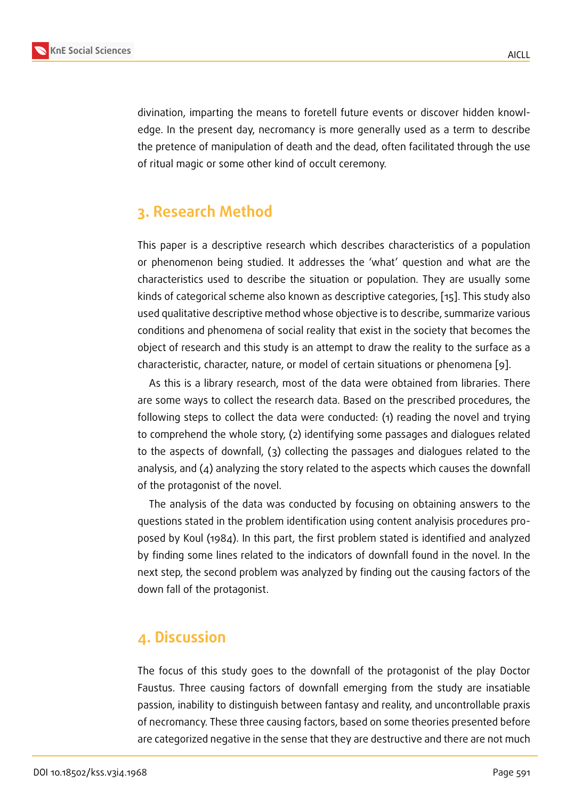divination, imparting the means to foretell future events or discover hidden knowledge. In the present day, necromancy is more generally used as a term to describe the pretence of manipulation of death and the dead, often facilitated through the use of ritual magic or some other kind of occult ceremony.

## **3. Research Method**

This paper is a descriptive research which describes characteristics of a population or phenomenon being studied. It addresses the 'what' question and what are the characteristics used to describe the situation or population. They are usually some kinds of categorical scheme also known as descriptive categories, [15]. This study also used qualitative descriptive method whose objective is to describe, summarize various conditions and phenomena of social reality that exist in the society that becomes the object of research and this study is an attempt to draw the reality [to](#page-12-1) the surface as a characteristic, character, nature, or model of certain situations or phenomena [9].

As this is a library research, most of the data were obtained from libraries. There are some ways to collect the research data. Based on the prescribed procedures, the following steps to collect the data were conducted: (1) reading the novel an[d t](#page-12-2)rying to comprehend the whole story, (2) identifying some passages and dialogues related to the aspects of downfall, (3) collecting the passages and dialogues related to the analysis, and (4) analyzing the story related to the aspects which causes the downfall of the protagonist of the novel.

The analysis of the data was conducted by focusing on obtaining answers to the questions stated in the problem identification using content analyisis procedures proposed by Koul (1984). In this part, the first problem stated is identified and analyzed by finding some lines related to the indicators of downfall found in the novel. In the next step, the second problem was analyzed by finding out the causing factors of the down fall of the protagonist.

### **4. Discussion**

The focus of this study goes to the downfall of the protagonist of the play Doctor Faustus. Three causing factors of downfall emerging from the study are insatiable passion, inability to distinguish between fantasy and reality, and uncontrollable praxis of necromancy. These three causing factors, based on some theories presented before are categorized negative in the sense that they are destructive and there are not much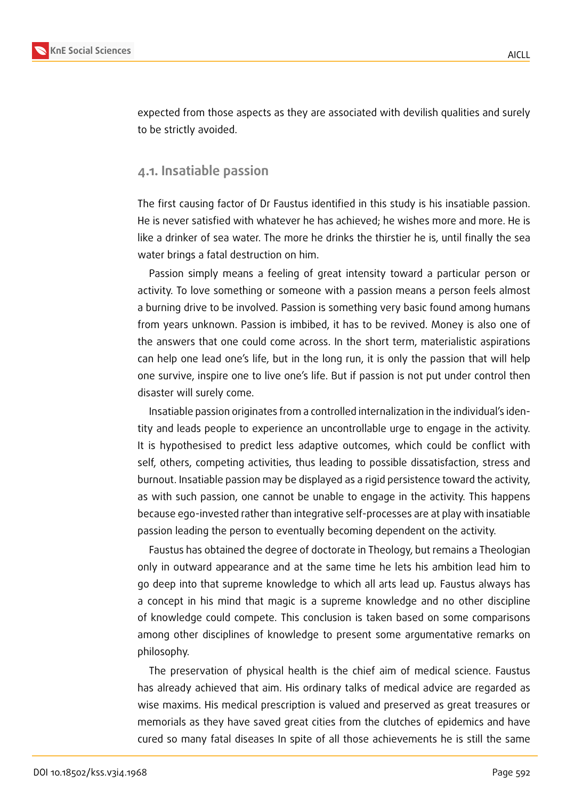

expected from those aspects as they are associated with devilish qualities and surely to be strictly avoided.

### **4.1. Insatiable passion**

The first causing factor of Dr Faustus identified in this study is his insatiable passion. He is never satisfied with whatever he has achieved; he wishes more and more. He is like a drinker of sea water. The more he drinks the thirstier he is, until finally the sea water brings a fatal destruction on him.

Passion simply means a feeling of great intensity toward a particular person or activity. To love something or someone with a passion means a person feels almost a burning drive to be involved. Passion is something very basic found among humans from years unknown. Passion is imbibed, it has to be revived. Money is also one of the answers that one could come across. In the short term, materialistic aspirations can help one lead one's life, but in the long run, it is only the passion that will help one survive, inspire one to live one's life. But if passion is not put under control then disaster will surely come.

Insatiable passion originates from a controlled internalization in the individual's identity and leads people to experience an uncontrollable urge to engage in the activity. It is hypothesised to predict less adaptive outcomes, which could be conflict with self, others, competing activities, thus leading to possible dissatisfaction, stress and burnout. Insatiable passion may be displayed as a rigid persistence toward the activity, as with such passion, one cannot be unable to engage in the activity. This happens because ego-invested rather than integrative self-processes are at play with insatiable passion leading the person to eventually becoming dependent on the activity.

Faustus has obtained the degree of doctorate in Theology, but remains a Theologian only in outward appearance and at the same time he lets his ambition lead him to go deep into that supreme knowledge to which all arts lead up. Faustus always has a concept in his mind that magic is a supreme knowledge and no other discipline of knowledge could compete. This conclusion is taken based on some comparisons among other disciplines of knowledge to present some argumentative remarks on philosophy.

The preservation of physical health is the chief aim of medical science. Faustus has already achieved that aim. His ordinary talks of medical advice are regarded as wise maxims. His medical prescription is valued and preserved as great treasures or memorials as they have saved great cities from the clutches of epidemics and have cured so many fatal diseases In spite of all those achievements he is still the same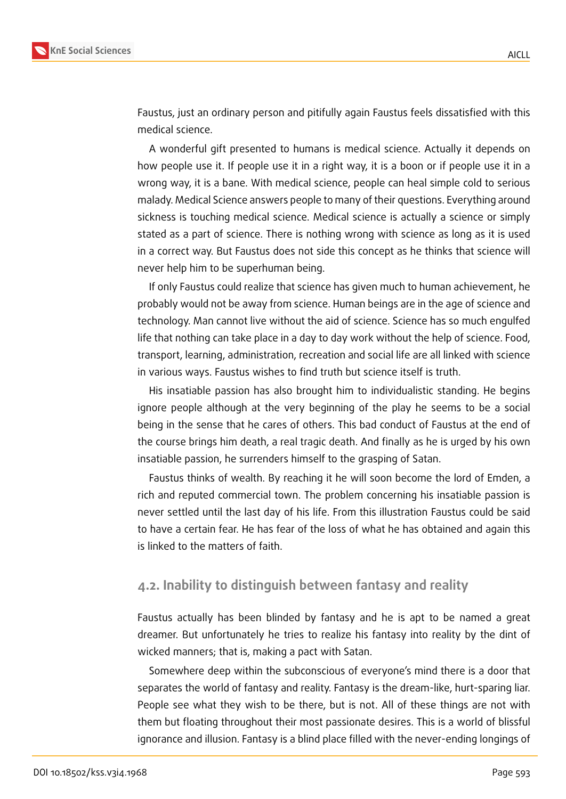

Faustus, just an ordinary person and pitifully again Faustus feels dissatisfied with this medical science.

A wonderful gift presented to humans is medical science. Actually it depends on how people use it. If people use it in a right way, it is a boon or if people use it in a wrong way, it is a bane. With medical science, people can heal simple cold to serious malady. Medical Science answers people to many of their questions. Everything around sickness is touching medical science. Medical science is actually a science or simply stated as a part of science. There is nothing wrong with science as long as it is used in a correct way. But Faustus does not side this concept as he thinks that science will never help him to be superhuman being.

If only Faustus could realize that science has given much to human achievement, he probably would not be away from science. Human beings are in the age of science and technology. Man cannot live without the aid of science. Science has so much engulfed life that nothing can take place in a day to day work without the help of science. Food, transport, learning, administration, recreation and social life are all linked with science in various ways. Faustus wishes to find truth but science itself is truth.

His insatiable passion has also brought him to individualistic standing. He begins ignore people although at the very beginning of the play he seems to be a social being in the sense that he cares of others. This bad conduct of Faustus at the end of the course brings him death, a real tragic death. And finally as he is urged by his own insatiable passion, he surrenders himself to the grasping of Satan.

Faustus thinks of wealth. By reaching it he will soon become the lord of Emden, a rich and reputed commercial town. The problem concerning his insatiable passion is never settled until the last day of his life. From this illustration Faustus could be said to have a certain fear. He has fear of the loss of what he has obtained and again this is linked to the matters of faith.

### **4.2. Inability to distinguish between fantasy and reality**

Faustus actually has been blinded by fantasy and he is apt to be named a great dreamer. But unfortunately he tries to realize his fantasy into reality by the dint of wicked manners; that is, making a pact with Satan.

Somewhere deep within the subconscious of everyone's mind there is a door that separates the world of fantasy and reality. Fantasy is the dream-like, hurt-sparing liar. People see what they wish to be there, but is not. All of these things are not with them but floating throughout their most passionate desires. This is a world of blissful ignorance and illusion. Fantasy is a blind place filled with the never-ending longings of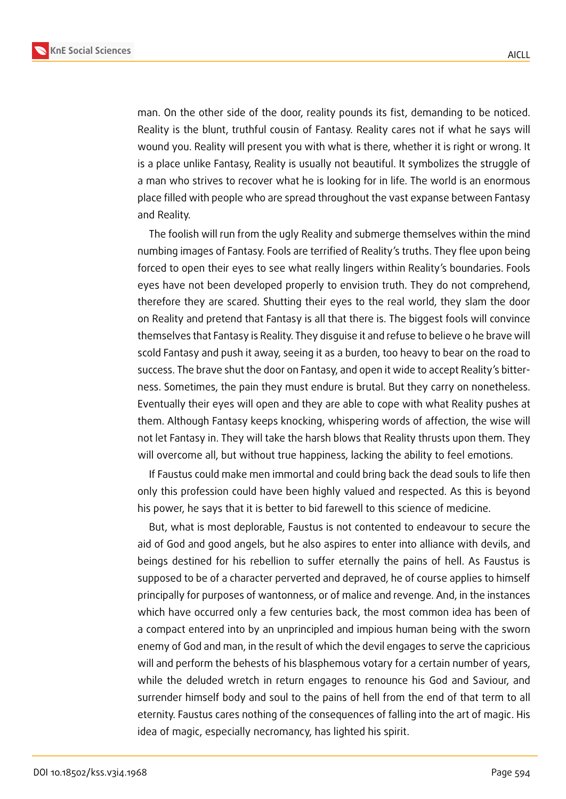

man. On the other side of the door, reality pounds its fist, demanding to be noticed. Reality is the blunt, truthful cousin of Fantasy. Reality cares not if what he says will wound you. Reality will present you with what is there, whether it is right or wrong. It is a place unlike Fantasy, Reality is usually not beautiful. It symbolizes the struggle of a man who strives to recover what he is looking for in life. The world is an enormous place filled with people who are spread throughout the vast expanse between Fantasy and Reality.

The foolish will run from the ugly Reality and submerge themselves within the mind numbing images of Fantasy. Fools are terrified of Reality's truths. They flee upon being forced to open their eyes to see what really lingers within Reality's boundaries. Fools eyes have not been developed properly to envision truth. They do not comprehend, therefore they are scared. Shutting their eyes to the real world, they slam the door on Reality and pretend that Fantasy is all that there is. The biggest fools will convince themselves that Fantasy is Reality. They disguise it and refuse to believe o he brave will scold Fantasy and push it away, seeing it as a burden, too heavy to bear on the road to success. The brave shut the door on Fantasy, and open it wide to accept Reality's bitterness. Sometimes, the pain they must endure is brutal. But they carry on nonetheless. Eventually their eyes will open and they are able to cope with what Reality pushes at them. Although Fantasy keeps knocking, whispering words of affection, the wise will not let Fantasy in. They will take the harsh blows that Reality thrusts upon them. They will overcome all, but without true happiness, lacking the ability to feel emotions.

If Faustus could make men immortal and could bring back the dead souls to life then only this profession could have been highly valued and respected. As this is beyond his power, he says that it is better to bid farewell to this science of medicine.

But, what is most deplorable, Faustus is not contented to endeavour to secure the aid of God and good angels, but he also aspires to enter into alliance with devils, and beings destined for his rebellion to suffer eternally the pains of hell. As Faustus is supposed to be of a character perverted and depraved, he of course applies to himself principally for purposes of wantonness, or of malice and revenge. And, in the instances which have occurred only a few centuries back, the most common idea has been of a compact entered into by an unprincipled and impious human being with the sworn enemy of God and man, in the result of which the devil engages to serve the capricious will and perform the behests of his blasphemous votary for a certain number of years, while the deluded wretch in return engages to renounce his God and Saviour, and surrender himself body and soul to the pains of hell from the end of that term to all eternity. Faustus cares nothing of the consequences of falling into the art of magic. His idea of magic, especially necromancy, has lighted his spirit.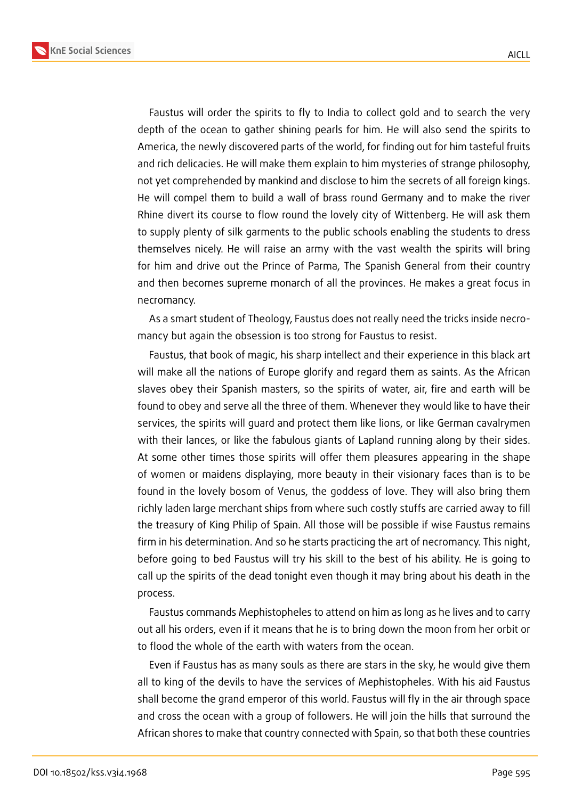**KnE Social Sciences**



Faustus will order the spirits to fly to India to collect gold and to search the very depth of the ocean to gather shining pearls for him. He will also send the spirits to America, the newly discovered parts of the world, for finding out for him tasteful fruits and rich delicacies. He will make them explain to him mysteries of strange philosophy, not yet comprehended by mankind and disclose to him the secrets of all foreign kings. He will compel them to build a wall of brass round Germany and to make the river Rhine divert its course to flow round the lovely city of Wittenberg. He will ask them to supply plenty of silk garments to the public schools enabling the students to dress themselves nicely. He will raise an army with the vast wealth the spirits will bring for him and drive out the Prince of Parma, The Spanish General from their country and then becomes supreme monarch of all the provinces. He makes a great focus in necromancy.

As a smart student of Theology, Faustus does not really need the tricks inside necromancy but again the obsession is too strong for Faustus to resist.

Faustus, that book of magic, his sharp intellect and their experience in this black art will make all the nations of Europe glorify and regard them as saints. As the African slaves obey their Spanish masters, so the spirits of water, air, fire and earth will be found to obey and serve all the three of them. Whenever they would like to have their services, the spirits will guard and protect them like lions, or like German cavalrymen with their lances, or like the fabulous giants of Lapland running along by their sides. At some other times those spirits will offer them pleasures appearing in the shape of women or maidens displaying, more beauty in their visionary faces than is to be found in the lovely bosom of Venus, the goddess of love. They will also bring them richly laden large merchant ships from where such costly stuffs are carried away to fill the treasury of King Philip of Spain. All those will be possible if wise Faustus remains firm in his determination. And so he starts practicing the art of necromancy. This night, before going to bed Faustus will try his skill to the best of his ability. He is going to call up the spirits of the dead tonight even though it may bring about his death in the process.

Faustus commands Mephistopheles to attend on him as long as he lives and to carry out all his orders, even if it means that he is to bring down the moon from her orbit or to flood the whole of the earth with waters from the ocean.

Even if Faustus has as many souls as there are stars in the sky, he would give them all to king of the devils to have the services of Mephistopheles. With his aid Faustus shall become the grand emperor of this world. Faustus will fly in the air through space and cross the ocean with a group of followers. He will join the hills that surround the African shores to make that country connected with Spain, so that both these countries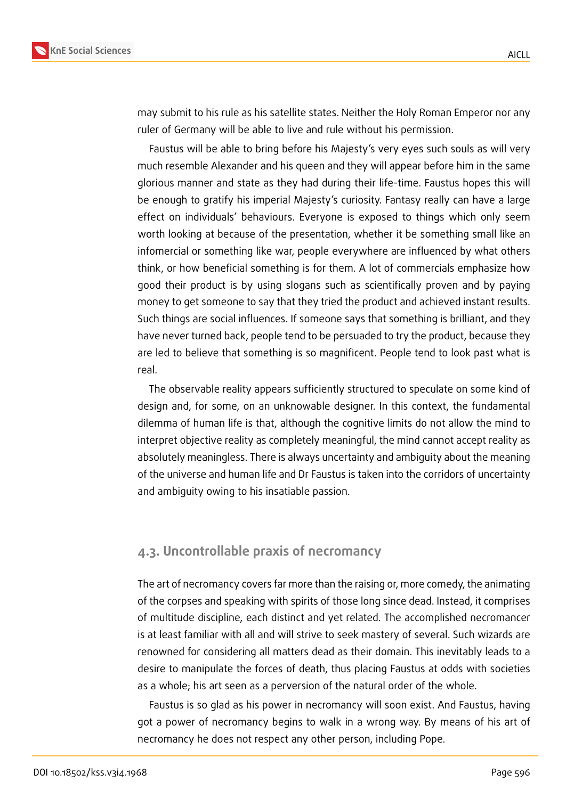

may submit to his rule as his satellite states. Neither the Holy Roman Emperor nor any ruler of Germany will be able to live and rule without his permission.

Faustus will be able to bring before his Majesty's very eyes such souls as will very much resemble Alexander and his queen and they will appear before him in the same glorious manner and state as they had during their life-time. Faustus hopes this will be enough to gratify his imperial Majesty's curiosity. Fantasy really can have a large effect on individuals' behaviours. Everyone is exposed to things which only seem worth looking at because of the presentation, whether it be something small like an infomercial or something like war, people everywhere are influenced by what others think, or how beneficial something is for them. A lot of commercials emphasize how good their product is by using slogans such as scientifically proven and by paying money to get someone to say that they tried the product and achieved instant results. Such things are social influences. If someone says that something is brilliant, and they have never turned back, people tend to be persuaded to try the product, because they are led to believe that something is so magnificent. People tend to look past what is real.

The observable reality appears sufficiently structured to speculate on some kind of design and, for some, on an unknowable designer. In this context, the fundamental dilemma of human life is that, although the cognitive limits do not allow the mind to interpret objective reality as completely meaningful, the mind cannot accept reality as absolutely meaningless. There is always uncertainty and ambiguity about the meaning of the universe and human life and Dr Faustus is taken into the corridors of uncertainty and ambiguity owing to his insatiable passion.

### **4.3. Uncontrollable praxis of necromancy**

The art of necromancy covers far more than the raising or, more comedy, the animating of the corpses and speaking with spirits of those long since dead. Instead, it comprises of multitude discipline, each distinct and yet related. The accomplished necromancer is at least familiar with all and will strive to seek mastery of several. Such wizards are renowned for considering all matters dead as their domain. This inevitably leads to a desire to manipulate the forces of death, thus placing Faustus at odds with societies as a whole; his art seen as a perversion of the natural order of the whole.

Faustus is so glad as his power in necromancy will soon exist. And Faustus, having got a power of necromancy begins to walk in a wrong way. By means of his art of necromancy he does not respect any other person, including Pope.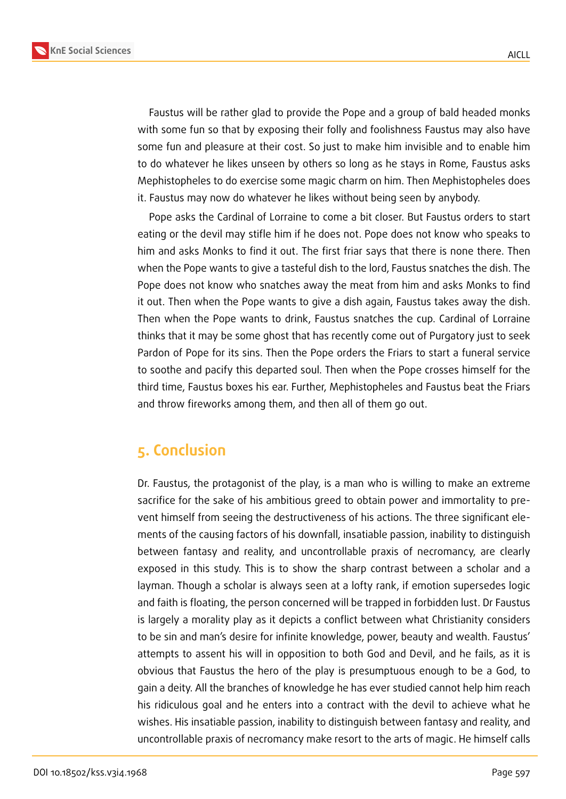



Faustus will be rather glad to provide the Pope and a group of bald headed monks with some fun so that by exposing their folly and foolishness Faustus may also have some fun and pleasure at their cost. So just to make him invisible and to enable him to do whatever he likes unseen by others so long as he stays in Rome, Faustus asks Mephistopheles to do exercise some magic charm on him. Then Mephistopheles does it. Faustus may now do whatever he likes without being seen by anybody.

Pope asks the Cardinal of Lorraine to come a bit closer. But Faustus orders to start eating or the devil may stifle him if he does not. Pope does not know who speaks to him and asks Monks to find it out. The first friar says that there is none there. Then when the Pope wants to give a tasteful dish to the lord, Faustus snatches the dish. The Pope does not know who snatches away the meat from him and asks Monks to find it out. Then when the Pope wants to give a dish again, Faustus takes away the dish. Then when the Pope wants to drink, Faustus snatches the cup. Cardinal of Lorraine thinks that it may be some ghost that has recently come out of Purgatory just to seek Pardon of Pope for its sins. Then the Pope orders the Friars to start a funeral service to soothe and pacify this departed soul. Then when the Pope crosses himself for the third time, Faustus boxes his ear. Further, Mephistopheles and Faustus beat the Friars and throw fireworks among them, and then all of them go out.

## **5. Conclusion**

Dr. Faustus, the protagonist of the play, is a man who is willing to make an extreme sacrifice for the sake of his ambitious greed to obtain power and immortality to prevent himself from seeing the destructiveness of his actions. The three significant elements of the causing factors of his downfall, insatiable passion, inability to distinguish between fantasy and reality, and uncontrollable praxis of necromancy, are clearly exposed in this study. This is to show the sharp contrast between a scholar and a layman. Though a scholar is always seen at a lofty rank, if emotion supersedes logic and faith is floating, the person concerned will be trapped in forbidden lust. Dr Faustus is largely a morality play as it depicts a conflict between what Christianity considers to be sin and man's desire for infinite knowledge, power, beauty and wealth. Faustus' attempts to assent his will in opposition to both God and Devil, and he fails, as it is obvious that Faustus the hero of the play is presumptuous enough to be a God, to gain a deity. All the branches of knowledge he has ever studied cannot help him reach his ridiculous goal and he enters into a contract with the devil to achieve what he wishes. His insatiable passion, inability to distinguish between fantasy and reality, and uncontrollable praxis of necromancy make resort to the arts of magic. He himself calls